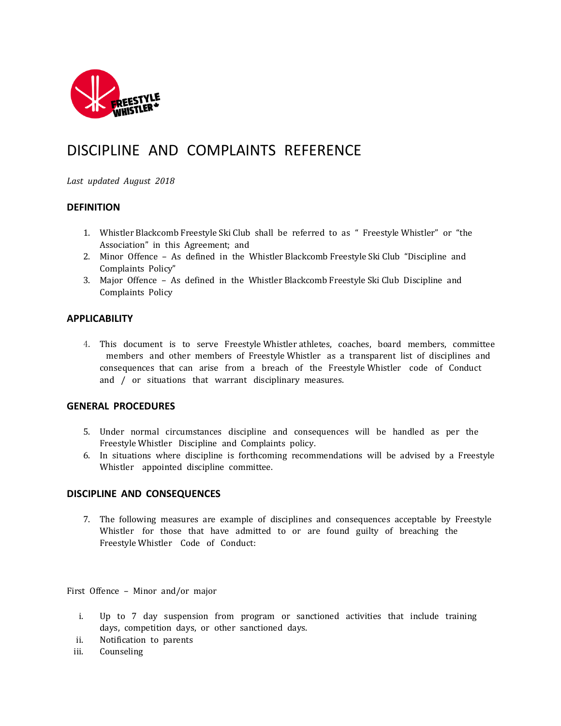

# DISCIPLINE AND COMPLAINTS REFERENCE

*Last updated August 2018*

# **DEFINITION**

- 1. Whistler Blackcomb Freestyle Ski Club shall be referred to as " Freestyle Whistler" or "the Association" in this Agreement; and
- 2. Minor Offence As defined in the Whistler Blackcomb Freestyle Ski Club "Discipline and Complaints Policy"
- 3. Major Offence As defined in the Whistler Blackcomb Freestyle Ski Club Discipline and Complaints Policy

## **APPLICABILITY**

4. This document is to serve Freestyle Whistler athletes, coaches, board members, committee members and other members of Freestyle Whistler as a transparent list of disciplines and consequences that can arise from a breach of the Freestyle Whistler code of Conduct and / or situations that warrant disciplinary measures.

### **GENERAL PROCEDURES**

- 5. Under normal circumstances discipline and consequences will be handled as per the Freestyle Whistler Discipline and Complaints policy.
- 6. In situations where discipline is forthcoming recommendations will be advised by a Freestyle Whistler appointed discipline committee.

### **DISCIPLINE AND CONSEQUENCES**

7. The following measures are example of disciplines and consequences acceptable by Freestyle Whistler for those that have admitted to or are found guilty of breaching the Freestyle Whistler Code of Conduct:

First Offence – Minor and/or major

- i. Up to 7 day suspension from program or sanctioned activities that include training days, competition days, or other sanctioned days.
- ii. Notification to parents
- iii. Counseling